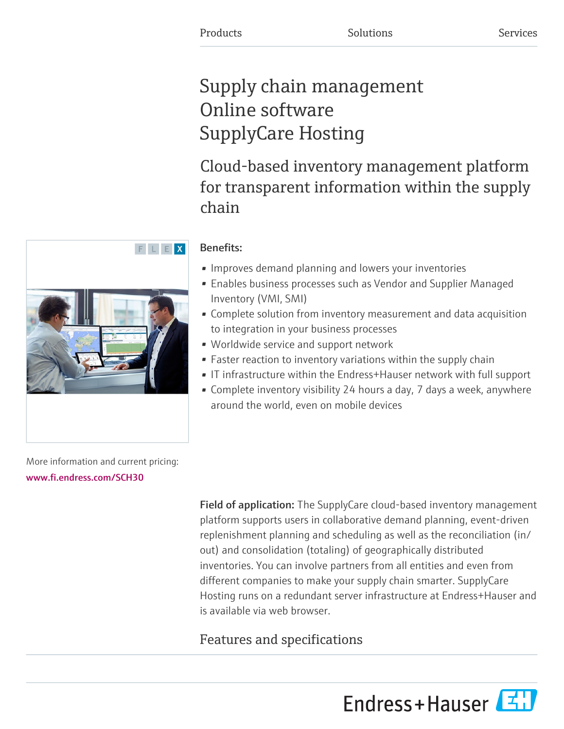# Supply chain management Online software SupplyCare Hosting

Cloud-based inventory management platform for transparent information within the supply chain

## Benefits:

- Improves demand planning and lowers your inventories
- Enables business processes such as Vendor and Supplier Managed Inventory (VMI, SMI)
- Complete solution from inventory measurement and data acquisition to integration in your business processes
- Worldwide service and support network
- Faster reaction to inventory variations within the supply chain
- IT infrastructure within the Endress+Hauser network with full support
- Complete inventory visibility 24 hours a day, 7 days a week, anywhere around the world, even on mobile devices

More information and current pricing: [www.fi.endress.com/SCH30](https://www.fi.endress.com/SCH30)

> Field of application: The SupplyCare cloud-based inventory management platform supports users in collaborative demand planning, event-driven replenishment planning and scheduling as well as the reconciliation (in/ out) and consolidation (totaling) of geographically distributed inventories. You can involve partners from all entities and even from different companies to make your supply chain smarter. SupplyCare Hosting runs on a redundant server infrastructure at Endress+Hauser and is available via web browser.

# Features and specifications



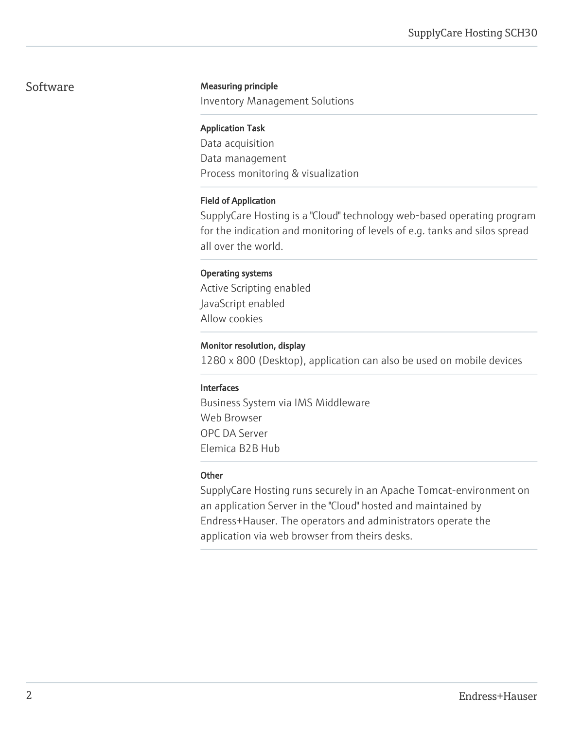#### Software **Measuring principle**

Inventory Management Solutions

#### Application Task

Data acquisition Data management Process monitoring & visualization

#### Field of Application

SupplyCare Hosting is a "Cloud" technology web-based operating program for the indication and monitoring of levels of e.g. tanks and silos spread all over the world.

#### Operating systems

Active Scripting enabled JavaScript enabled Allow cookies

#### Monitor resolution, display

1280 x 800 (Desktop), application can also be used on mobile devices

#### Interfaces

Business System via IMS Middleware Web Browser OPC DA Server Elemica B2B Hub

#### **Other**

SupplyCare Hosting runs securely in an Apache Tomcat-environment on an application Server in the "Cloud" hosted and maintained by Endress+Hauser. The operators and administrators operate the application via web browser from theirs desks.